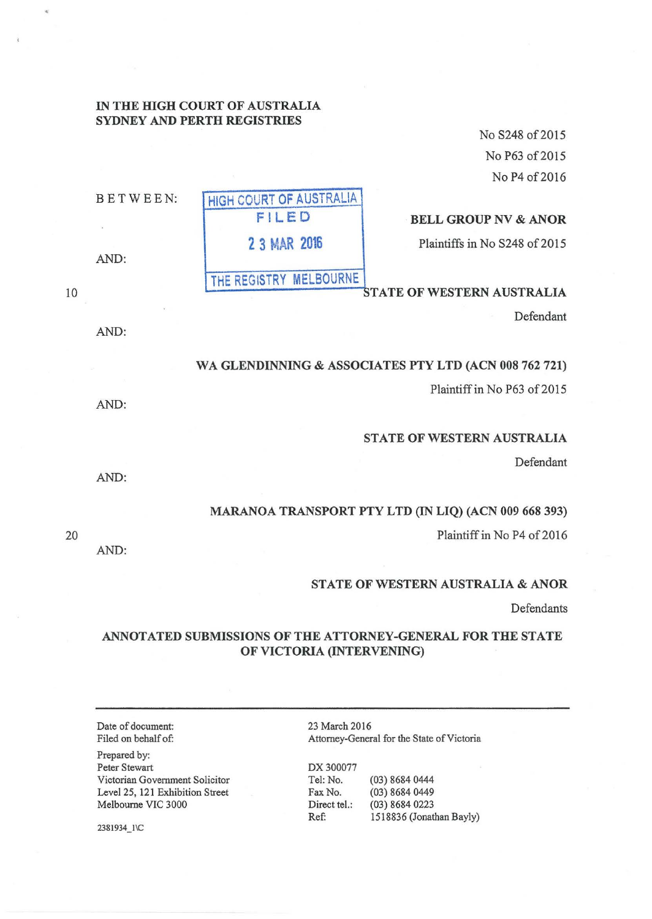# IN THE HIGH COURT OF AUSTRALIA SYDNEY AND PERTH REGISTRIES

No S248 of 2015 No P63 of 2015 No P4 of 2016

| BETWEEN: | HIGH COURT OF AUSTRALIA |                                   |
|----------|-------------------------|-----------------------------------|
|          | FILED                   | <b>BELL GROUP NV &amp; ANOR</b>   |
| AND:     | 2 3 MAR 2016            | Plaintiffs in No S248 of 2015     |
|          | THE REGISTRY MELBOURNE  |                                   |
|          |                         | <b>STATE OF WESTERN AUSTRALIA</b> |

Defendant

## WA GLENDINNING & ASSOCIATES PTY LTD (ACN 008 762 721)

Plaintiff in No P63 of 2015

# STATE OF WESTERN AUSTRALIA

Defendant

# MARANOA TRANSPORT PTY LTD (IN LIQ) (ACN 009 668 393)

Plaintiff in No P4 of 2016

## STATE OF WESTERN AUSTRALIA & ANOR

Defendants

# ANNOTATED SUBMISSIONS OF THE ATTORNEY-GENERAL FOR THE STATE OF VICTORIA (INTERVENING)

Date of document: Filed on behalf of:

Prepared by: Peter Stewart Victorian Government Solicitor Level25, 121 Exhibition Street Melbourne VIC 3000

2381934\_1\C

23 March 2016 Attorney-General for the State of Victoria

DX 300077 Tel: No. (03) 8684 0444 Fax No. (03) 8684 0449 Direct tel.: (03) 8684 0223 Ref: 1518836 (Jonathan Bayly)

20

10

AND:

AND:

AND:

AND: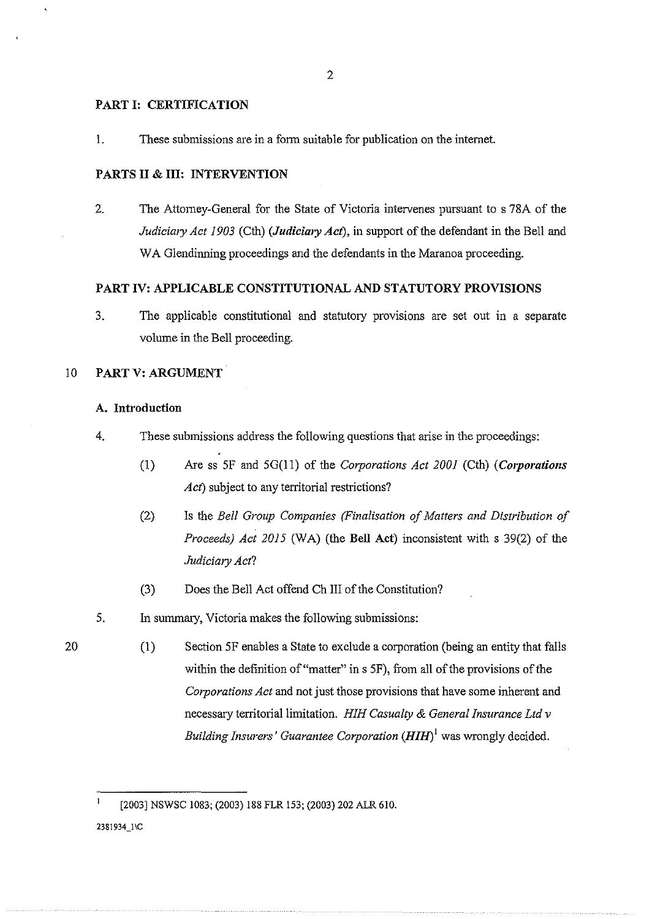#### PART I: CERTIFICATION

1. These submissions are in a form suitable for publication on the internet.

#### PARTS II & III: INTERVENTION

2. The Attomey-General for the State of Victoria intervenes pursuant to s 78A of the *Judiciary Act 1903* (Cth) *(Judiciary Act*), in support of the defendant in the Bell and WA Glendinning proceedings and the defendants in the Maranoa proceeding.

### PART IV: APPLICABLE CONSTITUTIONAL AND STATUTORY PROVISIONS

3. The applicable constitutional and statutory provisions are set out in a separate volume in the Bell proceeding.

### 10 PART V: ARGUMENT

### A. Introduction

- 4. These submissions address the following questions that arise in the proceedings:
	- (1) Are ss SF and SG(ll) of the *Corporations Act 2001* (Cth) *(Corporations Act)* subject to any territorial restrictions?
	- (2) Is the *Bell Group Companies (Finalisation of Matters and Distribution of Proceeds) Act 2015* (WA) (the Bell Act) inconsistent with s 39(2) of the *Judiciary Act?*
	- (3) Does the Bell Act offend Ch III of the Constitution?
- S. In summary, Victoria makes the following submissions:
- 20 (1) Section SF enables a State to exclude a corporation (being an entity that falls within the definition of "matter" in s 5F), from all of the provisions of the *Corporations Act* and not just those provisions that have some inherent and necessary territorial limitation. *HIH Casualty* & *General Insurance Ltd v Building Insurers' Guarantee Corporation*  $(HIH)^{1}$  was wrongly decided.

[2003] NSWSC 1083; (2003) 188 FLR 153; (2003) 202 ALR 610.

2381934\_1\C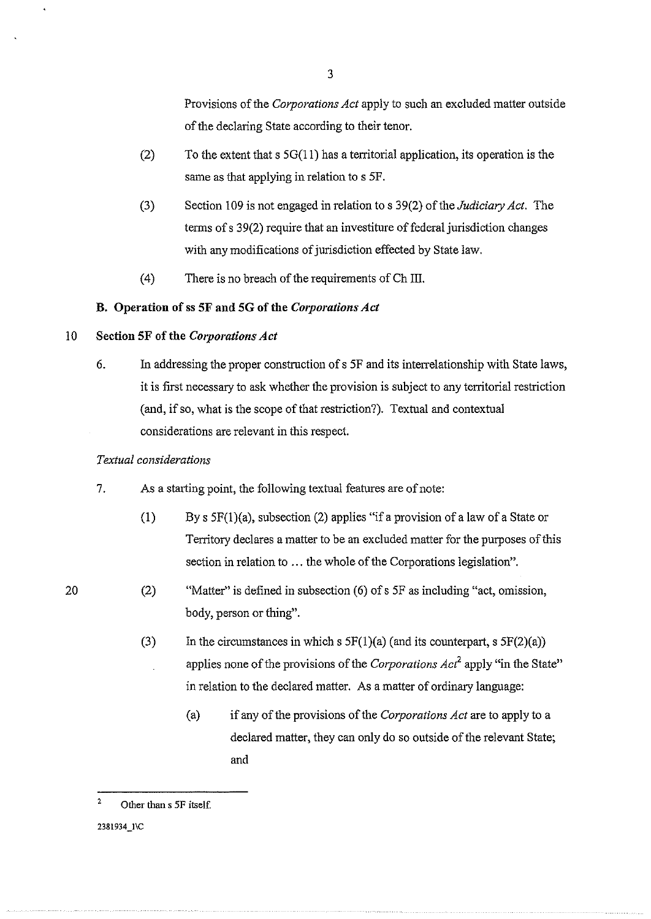Provisions of the *Corporations Act* apply to such an excluded matter outside of the declaring State according to their tenor.

- (2) To the extent that s  $5G(11)$  has a territorial application, its operation is the same as that applying in relation to s 5F.
- (3) Section 109 is not engaged in relation to s 39(2) of the *Judiciary Act.* The terms of s 39(2) require that an investiture of federal jurisdiction changes with any modifications of jurisdiction effected by State law.
- (4) There is no breach of the requirements ofCh Ill.

## **B. Operation of ss SF and SG of the** *C01porations Act*

## 10 **Section 5F of the** *Corporations Act*

6. In addressing the proper construction of s SF and its interrelationship with State laws, it is first necessary to ask whether the provision is subject to any territorial restriction (and, if so, what is the scope of that restriction?). Textual and contextual considerations are relevant in this respect.

### *Textual considerations*

- 7. As a starting point, the following textual features are of note:
	- (1) By s SF(l)(a), subsection (2) applies "if a provision of a law of a State or Territory declares a matter to be an excluded matter for the purposes of this section in relation to ... the whole of the Corporations legislation".
- (2) "Matter" is defined in subsection  $(6)$  of s 5F as including "act, omission, body, person or thing".
	- (3) In the circumstances in which s  $5F(1)(a)$  (and its counterpart, s  $5F(2)(a)$ ) applies none of the provisions of the *Corporations Act2* apply "in the State" in relation to the declared matter. As a matter of ordinary language:
		- (a) if any of the provisions of the *Corporations Act* are to apply to a declared matter, they can only do so outside of the relevant State; and

<sup>2</sup>  Other than s *SF* itself.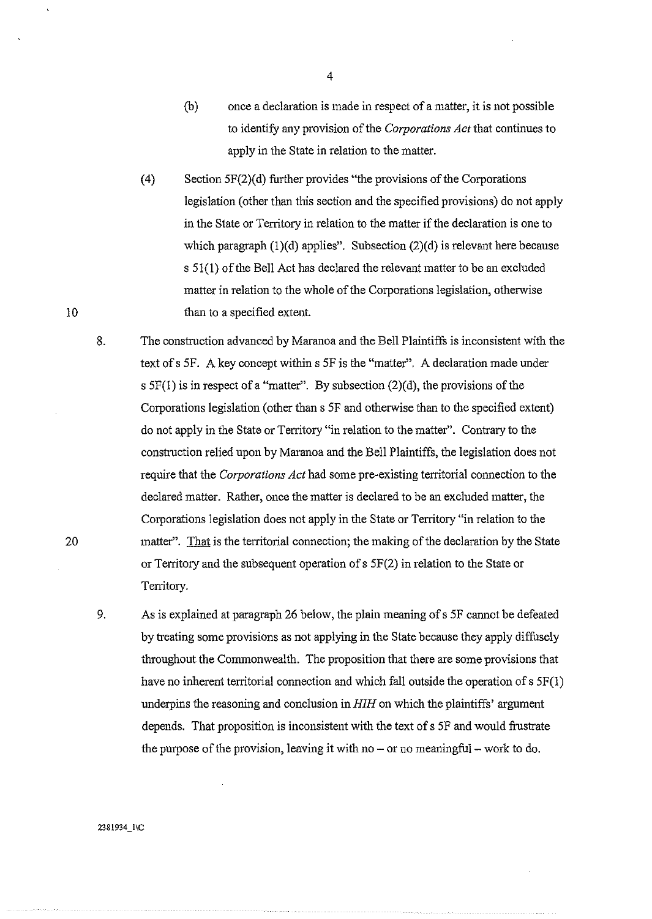- (b) once a declaration is made in respect of a matter, it is not possible to identifY any provision of the *Corporations Act* that continues to apply in the State in relation to the matter.
- (4) Section 5F(2)(d) further provides "the provisions of the Corporations legislation (other than this section and the specified provisions) do not apply in the State or Territory in relation to the matter if the declaration is one to which paragraph  $(1)(d)$  applies". Subsection  $(2)(d)$  is relevant here because s 51(1) of the Bell Act has declared the relevant matter to be an excluded matter in relation to the whole of the Corporations legislation, otherwise than to a specified extent.
- 8. The construction advanced by Maranoa and the Bell Plaintiffs is inconsistent with the text of s 5F. A key concept within s 5F is the "matter". A declaration made under s  $5F(1)$  is in respect of a "matter". By subsection  $(2)(d)$ , the provisions of the Corporations legislation (other than s 5F and otherwise than to the specified extent) do not apply in the State or Territory "in relation to the matter". Contrary to the construction relied upon by Maranoa and the Bell Plaintiffs, the legislation does not require that the *Corporations Act* had some pre-existing territorial connection to the declared matter. Rather, once the matter is declared to be an excluded matter, the Corporations legislation does not apply in the State or Territory "in relation to the matter". That is the territorial connection; the making of the declaration by the State or Territory and the subsequent operation of s 5F(2) in relation to the State or Tenitory.
- 9. As is explained at paragraph 26 below, the plain meaning of s 5F cannot be defeated by treating some provisions as not applying in the State because they apply diffusely throughout the Commonwealth. The proposition that there are some provisions that have no inherent territorial connection and which fall outside the operation of s  $5F(1)$ underpins the reasoning and conclusion in *HIH* on which the plaintiffs' argument depends. That proposition is inconsistent with the text of s 5F and would frustrate the purpose of the provision, leaving it with no  $-$  or no meaningful  $-$  work to do.

10

20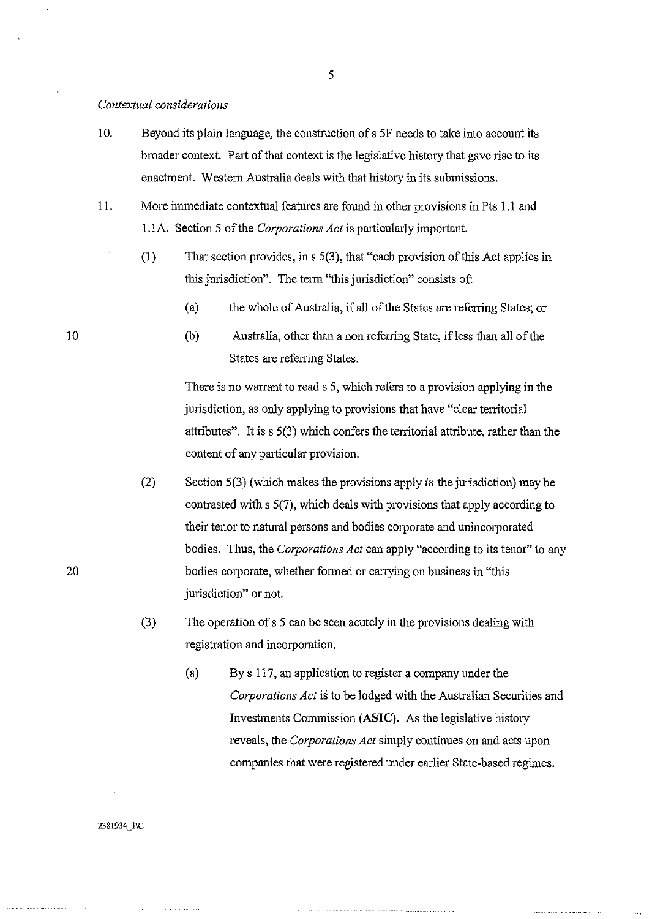#### *Contextual considerations*

- 10. Beyond its plain language, the construction of s SF needs to take into account its broader context. Part of that context is the legislative history that gave rise to its enactment. Western Australia deals with that history in its submissions.
- 11. More immediate contextual features are found in other provisions in Pts 1.1 and 1.1A. Section 5 of the *Corporations Act* is particularly important.
	- (1) That section provides, ins 5(3), that "each provision of this Act applies in this jurisdiction". The term "this jurisdiction" consists of:
		- (a) the whole of Australia, if all of the States are referring States; or
		- (b) Australia, other than a non referring State, if less than all of the States are referring States.

There is no warrant to read s 5, which refers to a provision applying in the jurisdiction, as only applying to provisions that have "clear territorial attributes". It is s 5(3) which confers the territorial attribute, rather than the content of any particular provision.

- (2) Section 5(3) (which makes the provisions apply *in* the jurisdiction) may be contrasted with s 5(7), which deals with provisions that apply according to their tenor to natural persons and bodies corporate and unincorporated bodies. Thus, the *Corporations Act* can apply "according to its tenor" to any bodies corporate, whether formed or carrying on business in "this jurisdiction" or not.
- (3) The operation of s 5 can be seen acutely in the provisions dealing with registration and incorporation.
	- (a) By s 117, an application to register a company under the *Corporations Act* is to be lodged with the Australian Securities and Investments Commission **(ASIC).** As the legislative history reveals, the *Corporations Act* simply continues on and acts upon companies that were registered under earlier State-based regimes.

10

20

2381934\_1\C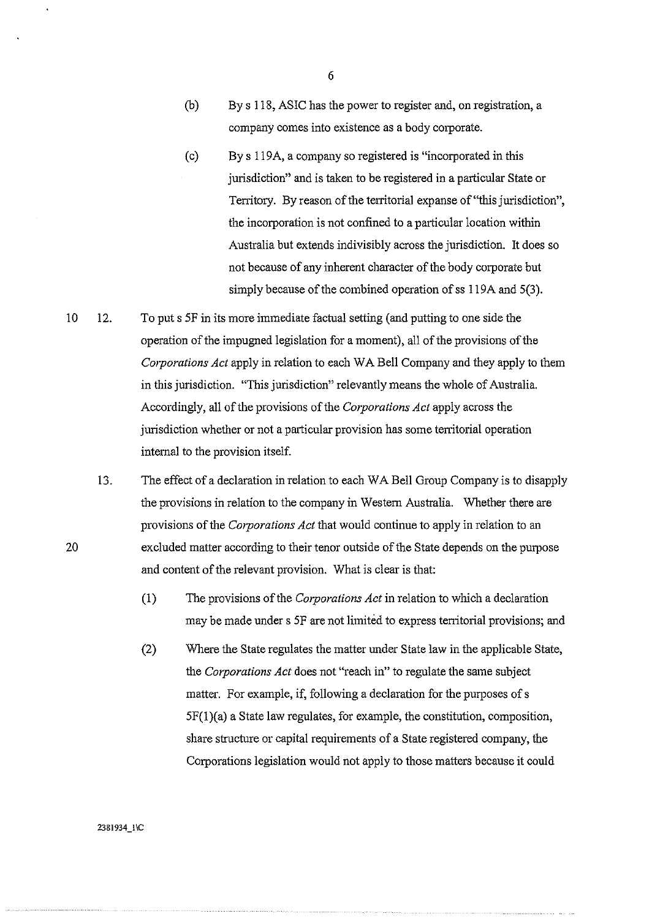- (b) By s 118, ASIC has the power to register and, on registration, a company comes into existence as a body corporate.
- (c) By s 119A, a company so registered is "incorporated in this jurisdiction" and is taken to be registered in a particular State or Territory. By reason of the territorial expanse of "this jurisdiction", the incorporation is not confined to a particular location within Australia but extends indivisibly across the jurisdiction. It does so not because of any inherent character of the body corporate but simply because of the combined operation of ss 119A and 5(3).
- 10 12. To puts SF in its more immediate factual setting (and putting to one side the operation of the impugned legislation for a moment), all of the provisions of the *Corporations Act* apply in relation to each WA Bell Company and they apply to them in this jurisdiction. "This jurisdiction" relevantly means the whole of Australia. Accordingly, all of the provisions of the *Corporations Act* apply across the jurisdiction whether or not a particular provision has some territorial operation internal to the provision itself.

13. The effect of a declaration in relation to each W A Bell Group Company is to disapply the provisions in relation to the company in Western Australia. Whether there are provisions of the *Corporations Act* that would continue to apply in relation to an excluded matter according to their tenor outside of the State depends on the purpose and content of the relevant provision. What is clear is that:

- (1) The provisions of the *Corporations Act* in relation to which a declaration may be made under s SF are not limited to express territorial provisions; and
- (2) Where the State regulates the matter under State law in the applicable State, the *Corporations Act* does not ''reach in" to regulate the same subject matter. For example, if, following a declaration for the purposes of s SF(l)(a) a State law regulates, for example, the constitution, composition, share structure or capital requirements of a State registered company, the Corporations legislation would not apply to those matters because it could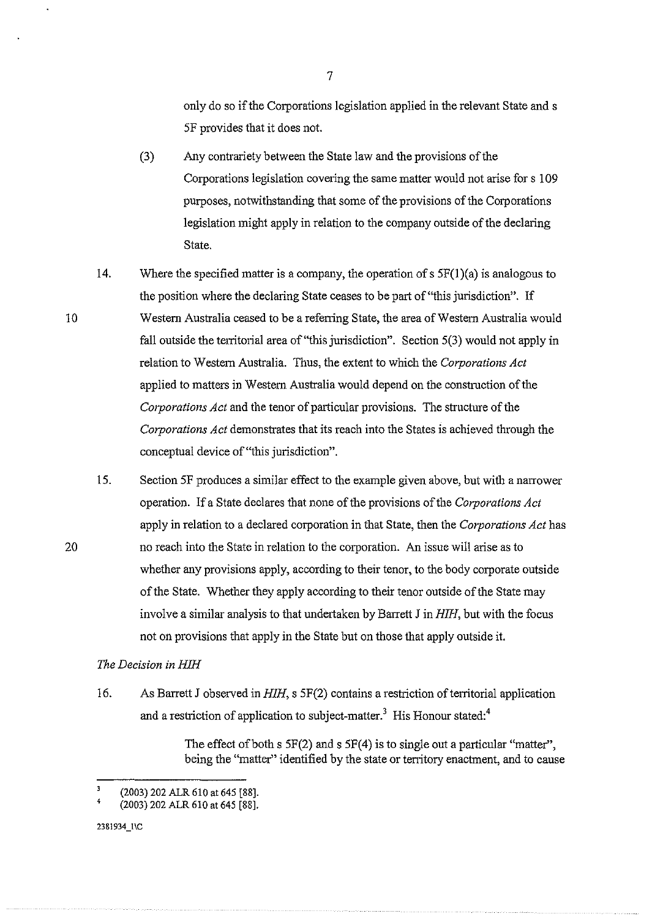only do so if the Corporations legislation applied in the relevant State and s 5F provides that it does not.

- (3) Any contrariety between the State law and the provisions of the Corporations legislation covering the same matter would not arise for s 109 purposes, notwithstanding that some of the provisions of the Corporations legislation might apply in relation to the company outside of the declaring State.
- 14. Where the specified matter is a company, the operation of s  $5F(1)(a)$  is analogous to the position where the declaring State ceases to be part of "this jurisdiction". If Westem Australia ceased to be a referring State, the area of Westem Australia would fall outside the territorial area of "this jurisdiction". Section  $5(3)$  would not apply in relation to W estem Australia. Thus, the extent to which the *Corporations Act*  applied to matters in Western Australia would depend on the construction of the *C01porations Act* and the tenor of particular provisions. The structure of the *Corporations Act* demonstrates that its reach into the States is achieved through the conceptual device of"this jurisdiction".
- 15. Section 5F produces a similar effect to the example given above, but with a narrower operation. If a State declares that none of the provisions of the *Corporations Act*  apply in relation to a declared corporation in that State, then the *Corporations Act* has no reach into the State in relation to the corporation. An issue will arise as to whether any provisions apply, according to their tenor, to the body corporate outside of the State. Whether they apply according to their tenor outside of the State may involve a similar analysis to that undertaken by Barrett J in *HIH*, but with the focus not on provisions that apply in the State but on those that apply outside it.

### *The Decision in HIH*

16. As Barrett J observed in *HIH,* s 5F(2) contains a reshiction of territorial application and a restriction of application to subject-matter.<sup>3</sup> His Honour stated:<sup>4</sup>

> The effect of both  $s$  5F(2) and  $s$  5F(4) is to single out a particular "matter", being the "matter'' identified by the state or territory enactment, and to cause

2381934\_1\C

10

<sup>(2003) 202</sup> ALR 610 at 645 [88].

<sup>4</sup>  (2003) 202 ALR 610 at 645 [88].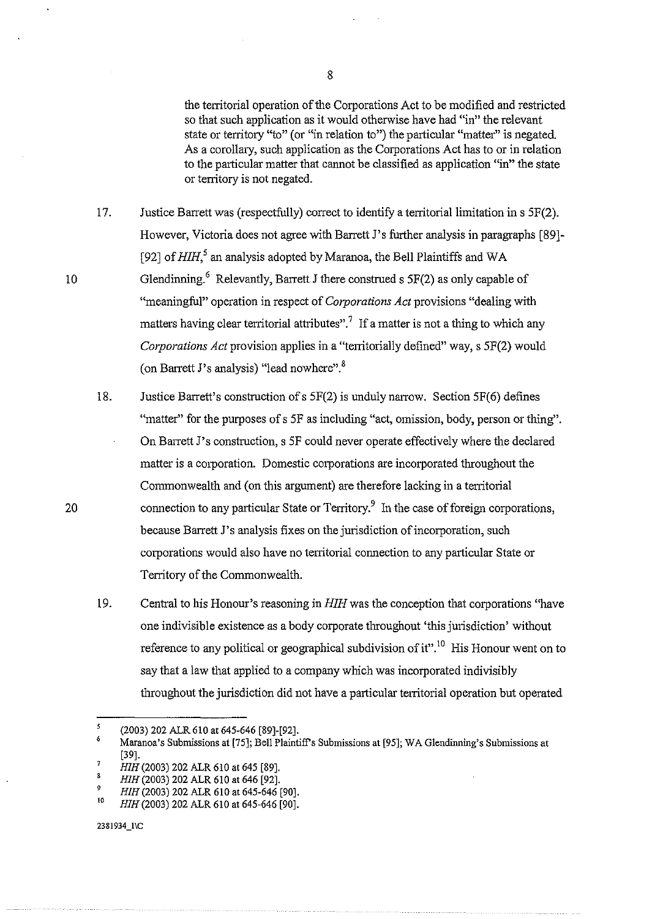the territorial operation of the Corporations Act to be modified and restricted so that such application as it would otherwise have had "in" the relevant state or territory "to" (or "in relation to") the particular "matter" is negated. As a corollary, such application as the Corporations Act has to or in relation to the particular matter that cannot be classified as application "in" the state or territory is not negated.

17. Justice Barrett was (respectfully) correct to identify a territorial limitation in s 5F(2). However, Victoria does not agree with Barrett J's further analysis in paragraphs [89]-[92] of *HIH*,<sup>5</sup> an analysis adopted by Maranoa, the Bell Plaintiffs and WA Glendinning.<sup>6</sup> Relevantly, Barrett J there construed s  $5F(2)$  as only capable of "meaningful" operation in respect of *Corporations Act* provisions "dealing with matters having clear territorial attributes".<sup>7</sup> If a matter is not a thing to which any *Corporations Act* provision applies in a "territorially defined" way, s 5F(2) would (on Barrett J's analysis) "lead nowhere".<sup>8</sup>

18. Justice Barrett's construction ofs 5F(2) is unduly narrow. Section 5F(6) defines "matter" for the purposes of s 5F as including "act, omission, body, person or thing". On Barrett J's construction, s 5F could never operate effectively where the declared matter is a corporation. Domestic corporations are incorporated throughout the Commonwealth and (on this argument) are therefore lacking in a territorial connection to any particular State or Territory.<sup>9</sup> In the case of foreign corporations, because Barrett J's analysis fixes on the jurisdiction of incorporation, such corporations would also have no territorial connection to any particular State or Territory of the Commonwealth.

19. Central to his Honour's reasoning in HIH was the conception that corporations "have one indivisible existence as a body corporate throughout 'this jurisdiction' without reference to any political or geographical subdivision of it".<sup>10</sup> His Honour went on to say that a law that applied to a company which was incorporated indivisibly throughout the jurisdiction did not have a particular territorial operation but operated

 $\mathbf S$ (2003) 202 ALR 610 at 645-646 [89]-[92].

<sup>6</sup>  7 Maranoa's Submissions at [75]; Bell Plaintiff's Submissions at [95]; WA Glendinning's Submissions at [39].

<sup>8</sup>  *HIH* (2003) 202 ALR 610 at 645 [89].

<sup>9</sup>  *HIH(2003)* 202 ALR 610 at 646 [92].

<sup>10</sup>  *HIH* (2003) 202 ALR 610 at 645-646 [90].

*HIH* (2003) 202 ALR 610 at 645-646 [90].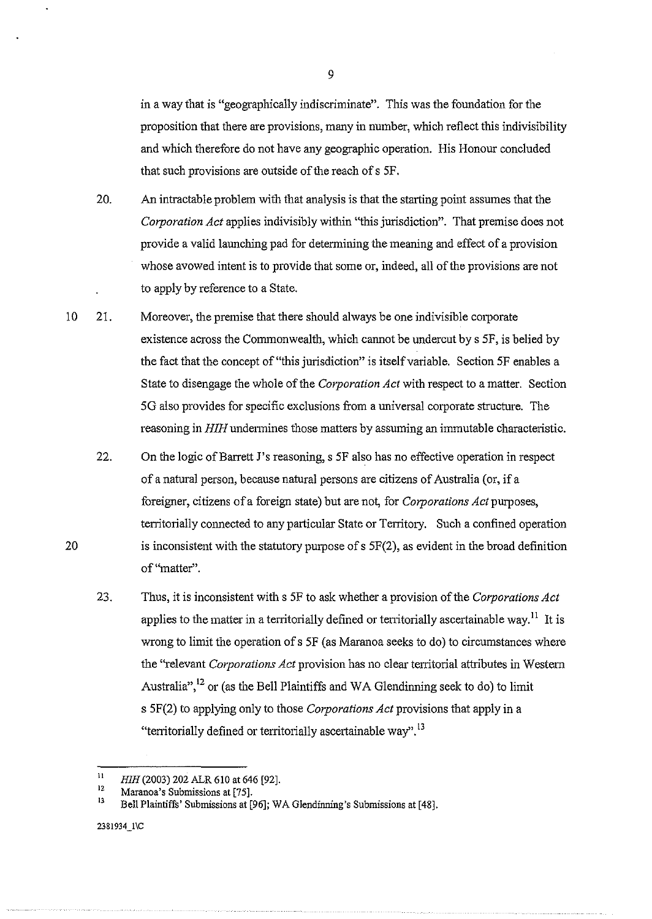in a way that is "geographically indiscriminate". This was the foundation for the proposition that there are provisions, many in number, which reflect this indivisibility and which therefore do not have any geographic operation. His Honour concluded that such provisions are outside of the reach of s 5F.

- 20. An intractable problem with that analysis is that the starting point assumes that the *Corporation Act* applies indivisibly within "this jurisdiction". That premise does not provide a valid launching pad for determining the meaning and effect of a provision whose avowed intent is to provide that some or, indeed, all of the provisions are not to apply by reference to a State.
- 10 21. Moreover, the premise that there should always be one indivisible corporate existence across the Commonwealth, which cannot be undercut by s SF, is belied by the fact that the concept of"this jurisdiction" is itself variable. Section SF enables a State to disengage the whole of the *Corporation Act* with respect to a matter. Section SG also provides for specific exclusions from a universal corporate structure. The reasoning in *HIH* undermines those matters by assuming an immutable characteristic.
	- 22. On the logic ofBarrett J's reasoning, s SF also has no effective operation in respect of a natural person, because natural persons are citizens of Australia (or, if a foreigner, citizens of a foreign state) but are not, for *Corporations Act* purposes, territorially connected to any particular State or Territory. Such a confined operation is inconsistent with the statutory purpose of s SF(2), as evident in the broad definition of "matter".
	- 23. Thus, it is inconsistent with s SF to ask whether a provision of the *Corporations Act*  applies to the matter in a territorially defined or territorially ascertainable way.<sup>11</sup> It is wrong to limit the operation of s SF (as Maranoa seeks to do) to circumstances where the ''relevant *Corporations Act* provision has no clear territorial attributes in Western Australia",  $^{12}$  or (as the Bell Plaintiffs and WA Glendinning seek to do) to limit s 5F(2) to applying only to those *Corporations Act* provisions that apply in a "territorially defined or territorially ascertainable way".<sup>13</sup>

20

<sup>11</sup>  *HIH* (2003) 202 ALR 610 at 646 [92].

<sup>12</sup>  Maranoa's Submissions at (75].

<sup>13</sup>  Bell Plaintiffs' Submissions at [96]; WA Glendinning's Submissions at [48].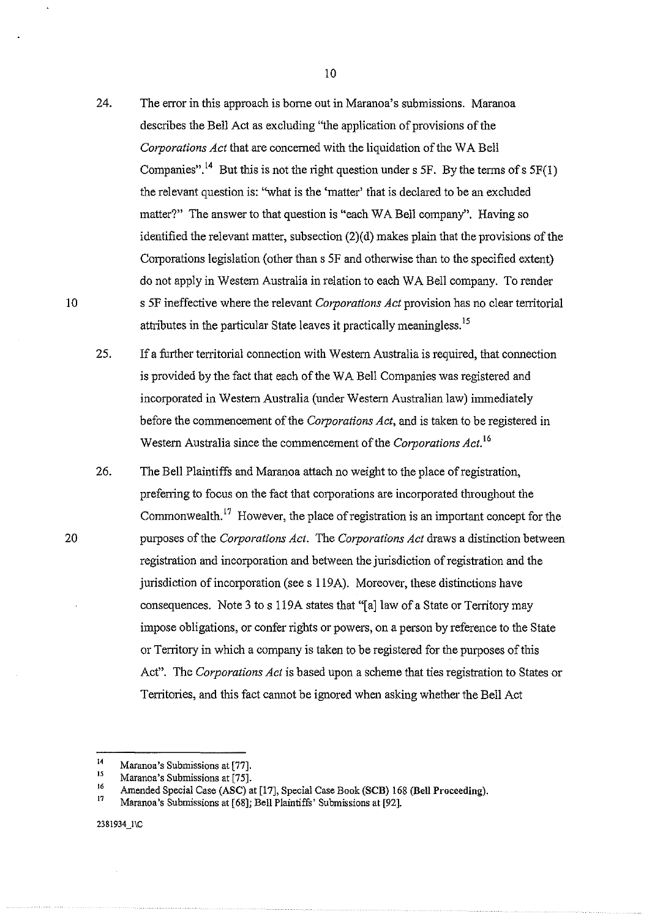- 24. The error in this approach is borne out in Maranoa's submissions. Maranoa describes the Bell Act as excluding "the application of provisions of the *Corporations Act* that are concemed with the liquidation of the W A Bell Companies".<sup>14</sup> But this is not the right question under s 5F. By the terms of s  $5F(1)$ the relevant question is: "what is the 'matter' that is declared to be an excluded matter?" The answer to that question is "each WA Bell company". Having so identified the relevant matter, subsection (2)(d) makes plain that the provisions of the Corporations legislation (other than s SF and otherwise than to the specified extent) do not apply in Western Australia in relation to each WA Bell company. To render s SF ineffective where the relevant *Corporations Act* provision has no clear territorial attributes in the particular State leaves it practically meaningless.<sup>15</sup>
- 2S. If a further territorial connection with Western Australia is required, that connection is provided by the fact that each of the WA Bell Companies was registered and incorporated in Western Australia (under Western Australian law) immediately before the commencement of the *Corporations Act,* and is taken to be registered in Western Australia since the commencement of the *Corporations Act.* <sup>16</sup>
- 26. The Bell Plaintiffs and Maranoa attach no weight to the place of registration, preferring to focus on the fact that corporations are incorporated throughout the Commonwealth.<sup>17</sup> However, the place of registration is an important concept for the purposes of the *Corporations Act.* The *Corporations Act* draws a distinction between registration and incorporation and between the jurisdiction of registration and the jurisdiction of incorporation (sees 119A). Moreover, these distinctions have consequences. Note 3 to s 119A states that "[a]law of a State or Territory may impose obligations, or confer rights or powers, on a person by reference to the State or Territory in which a company is taken to be registered for the purposes of this Act". The *Corporations Act* is based upon a scheme that ties registration to States or Territories, and this fact cannot be ignored when asking whether the Bell Act

20

<sup>14</sup>  Maranoa's Submissions at [77].

<sup>15&</sup>lt;br>16 Maranoa's Submissions at [75].

Amended Special Case (ASC) at [17], Special Case Book (SCB) 168 (Bell Proceeding).

<sup>17</sup>  Maranoa's Submissions at [68]; Bell PlaintiffS' Submissions at [92].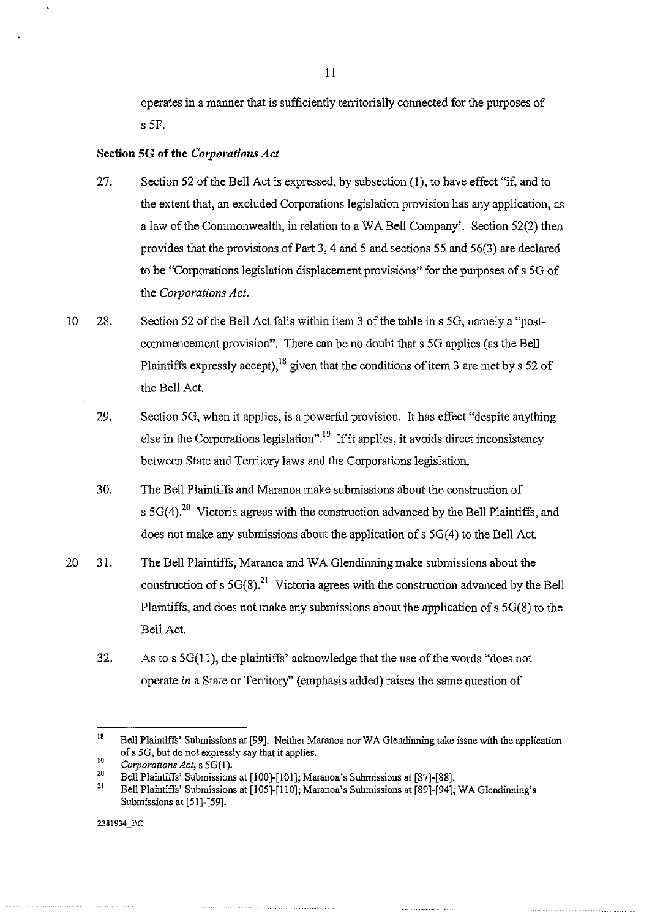operates in a manner that is sufficiently territorially connected for the purposes of s SF.

# Section SG of the *C01porations Act*

- 27. Section 52 of the Bell Act is expressed, by subsection (1), to have effect "if, and to the extent that, an excluded Corporations legislation provision has any application, as a law of the Commonwealth, in relation to a W A Bell Company'. Section 52(2) then provides that the provisions of Part 3, 4 and 5 and sections 55 and  $56(3)$  are declared to be "Corporations legislation displacement provisions" for the purposes of s 5G of the *Corporations Act.*
- 10 28. Section 52 of the Bell Act falls within item 3 of the table ins 5G, namely a "postcommencement provision". There can be no doubt that s 5G applies (as the Bell Plaintiffs expressly accept), <sup>18</sup> given that the conditions of item 3 are met by s 52 of the Bell Act.
	- 29. Section 5G, when it applies, is a powerful provision. It has effect "despite anything else in the Corporations legislation".<sup>19</sup> If it applies, it avoids direct inconsistency between State and Territory laws and the Corporations legislation.
	- 30. The Bell Plaintiffs and Maranoa make submissions about the construction of s  $5G(4).^{20}$  Victoria agrees with the construction advanced by the Bell Plaintiffs, and does not make any submissions about the application of  $s$  5G(4) to the Bell Act.
- 20 31. The Bell Plaintiffs, Maranoa and W A Glendinning make submissions about the construction of s  $5G(8)$ <sup>21</sup>. Victoria agrees with the construction advanced by the Bell Plaintiffs, and does not make any submissions about the application of s 5G(8) to the Bell Act.
	- 32. As to s 5G(ll), the plaintiffs' acknowledge that the use of the words "does not operate *in* a State or Territory'' (emphasis added) raises the same question of

<sup>18</sup>  Bell Plaintiffs' Submissions at [99]. Neither Maranoa nor W A Glendinning take issue with the application of s 5G, but do not expressly say that it applies.

<sup>19</sup>  *Corporations Act,* s 5G(l).

<sup>20</sup>  Bell PlaintiffS' Submissions at [100]-[101]; Maranoa's Submissions at [87]-[88].

<sup>21</sup>  Bell Plaintiffs' Submissions at [105]-[110]; Maranoa's Submissions at [89]-[94]; WA Glendinning's Submissions at [51]-[59].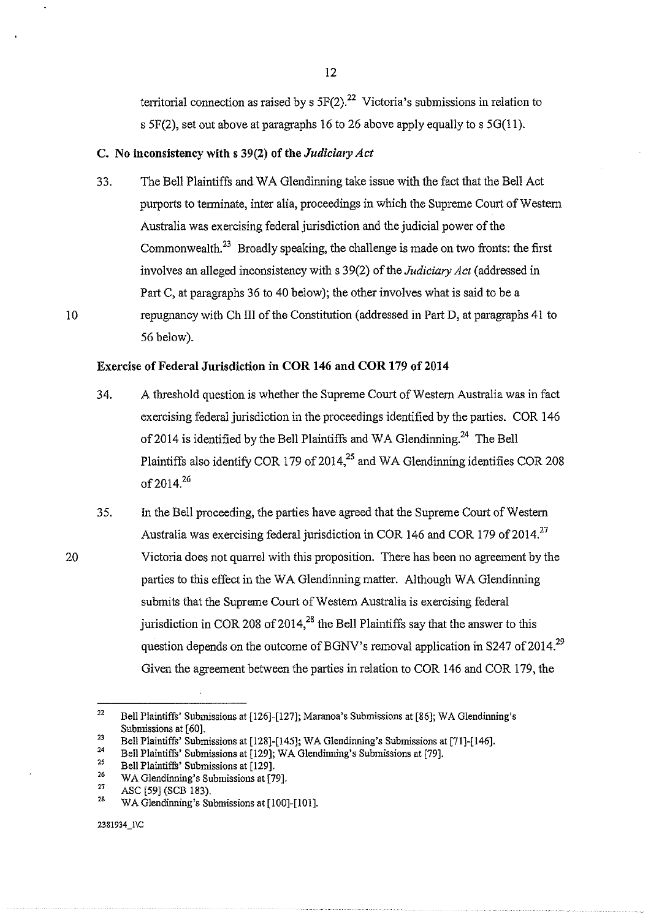territorial connection as raised by s  $5F(2).^{22}$  Victoria's submissions in relation to s  $5F(2)$ , set out above at paragraphs 16 to 26 above apply equally to s  $5G(11)$ .

# C. No inconsistency with s 39(2) of the *Judiciary Act*

33. The Bell Plaintiffs and WA Glendinning take issue with the fact that the Bell Act purports to terminate, inter alia, proceedings in which the Supreme Court of Western Australia was exercising federal jurisdiction and the judicial power of the Commonwealth.<sup>23</sup> Broadly speaking, the challenge is made on two fronts: the first involves an alleged inconsistency with s 39(2) of the *Judiciary Act* (addressed in Part C, at paragraphs 36 to 40 below); the other involves what is said to be a repugnancy with ChIll of the Constitution (addressed in Part D, at paragraphs 41 to 56 below).

### Exercise of Federal Jurisdiction in COR 146 and COR 179 of 2014

- 34. A threshold question is whether the Supreme Court of Western Australia was in fact exercising federal jurisdiction in the proceedings identified by the parties. COR 146 of 2014 is identified by the Bell Plaintiffs and WA Glendinning.<sup>24</sup> The Bell Plaintiffs also identify COR 179 of  $2014<sup>25</sup>$  and WA Glendinning identifies COR 208 of  $2014^{26}$
- 35. in the Bell proceeding, the parties have agreed that the Supreme Comt of Western Australia was exercising federal jurisdiction in COR 146 and COR 179 of 2014.<sup>27</sup> Victoria does not quarrel with this proposition. There has been no agreement by the parties to this effect in the WA Glendinning matter. Although WA Glendinning submits that the Supreme Court of Western Australia is exercising federal jurisdiction in COR 208 of 2014,<sup>28</sup> the Bell Plaintiffs say that the answer to this question depends on the outcome of BGNV's removal application in S247 of 2014.<sup>29</sup> Given the agreement between the parties in relation to COR 146 and COR 179, the

2381934\_1\C

20

<sup>22</sup>  Bell Plaintiffs' Submissions at [126]-[127]; Maranoa's Submissions at [86]; WA Glendinning's Submissions at [60].

<sup>23</sup>  Bell Plaintiffs' Submissions at [128]-[145]; WA G!endinning's Submissions at [71]-[146].

<sup>24</sup>  Bell Plaintiffs' Submissions at [129]; WA Glendinning's Submissions at [79].

<sup>25</sup>  26 Bell Plaintiffs' Submissions at [129].

<sup>27</sup>  WA Glendinning's Submissions at [79].

<sup>28</sup>  ASC [59] (SCE 183).

WA Glendinning's Submissions at [100]-[101].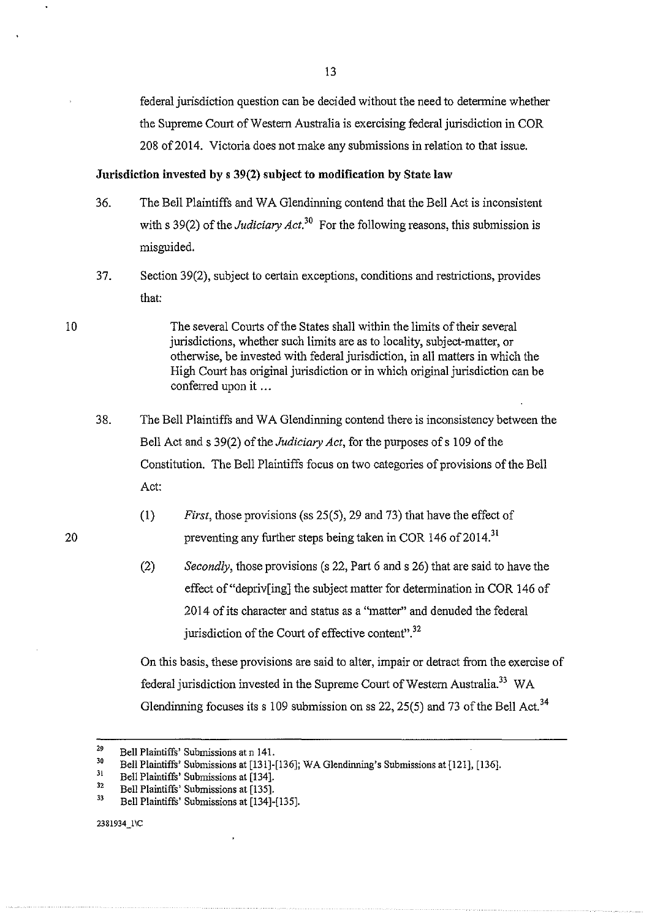federal jurisdiction question can be decided without the need to determine whether the Supreme Comt of Western Australia is exercising federal jurisdiction in COR 208 of 2014. Victoria does not make any submissions in relation to that issue.

#### **Jurisdiction invested by s 39(2) subject to modification by State law**

- 36. The Bell Plaintiffs and W A G1endinning contend that the Bell Act is inconsistent with s 39(2) of the *Judiciary Act*.<sup>30</sup> For the following reasons, this submission is misguided.
- 37. Section 39(2), subject to certain exceptions, conditions and restrictions, provides that:
- The several Courts of the States shall within the limits of their several jurisdictions, whether such limits are as to locality, subject-matter, or otherwise, be invested with federal jurisdiction, in all matters in which the High Court has original jurisdiction or in which original jurisdiction can be conferred upon it ...
- 38. The Bell Plaintiffs and W A Glendinning contend there is inconsistency between the Bell Act and s 39(2) of the *Judiciary Act,* for the purposes ofs 109 of the Constitution. The Bell Plaintiffs focus on two categories of provisions of the Bell Act:
	- (I) *First,* those provisions (ss 25(5), 29 and 73) that have the effect of preventing any further steps being taken in COR 146 of  $2014$ <sup>31</sup>
	- (2) *Secondly,* those provisions (s 22, Part 6 and s 26) that are said to have the effect of"depriv[ing] the subject matter for determination in COR 146 of 2014 of its character and status as a "matter" and denuded the federal jurisdiction of the Court of effective content".<sup>32</sup>

On this basis, these provisions are said to alter, impair or detract from the exercise of federal jurisdiction invested in the Supreme Court of Western Australia.<sup>33</sup> WA Glendinning focuses its s 109 submission on ss 22, 25(5) and 73 of the Bell Act.<sup>34</sup>

13

10

<sup>29</sup>  Bell Plaintiffs' Submissions at n 141.

<sup>30</sup>  Bell Plaintiffs' Submissions at [131]-[136]; WA Glendinning's Submissions at [121], [136].

<sup>3!</sup>  Bell Plaintiffs' Submissions at [134].

<sup>32</sup>  Bell Plaintiffs' Submissions at [135].

<sup>33</sup>  Bell Plaintiffs' Submissions at [134]-[135].

<sup>2381934</sup>\_1\C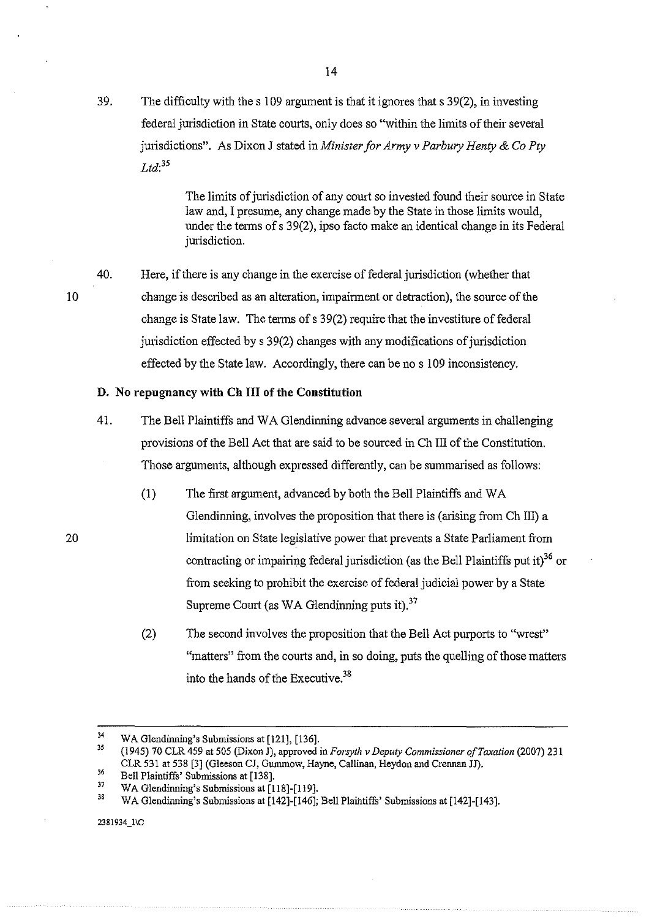39. The difficulty with the s 109 argument is that it ignores that s 39(2), in investing federal jurisdiction in State courts, only does so "within the limits of their several jurisdictions". As Dixon J stated in *Minister for Army v Parbury Henty* & *Go Pty Ltd:<sup>35</sup>*

> The limits of jurisdiction of any court so invested found their source in State law and, I presume, any change made by the State in those limits would, under the terms of s 39(2), ipso facto make an identical change in its Federal jurisdiction.

40. Here, if there is any change in the exercise of federal jurisdiction (whether that change is described as an alteration, impainnent or detraction), the source of the change is State law. The terms of  $s$  39(2) require that the investiture of federal jurisdiction effected by s 39(2) changes with any modifications of jurisdiction effected by the State law. Accordingly, there can be nos 109 inconsistency.

#### **D. No repugnancy with ChIll of the Constitution**

- 41. The Bell Plaintiffs and W A Glendhming advance several arguments in challenging provisions of the Bell Act that are said to be sourced in Ch Ill of the Constitution. Those arguments, although expressed differently, can be summarised as follows:
	- (1) The first argument, advanced by both the Bell Plaintiffs and W A Glendinning, involves the proposition that there is (arising from Ch III) a limitation on State legislative power that prevents a State Parliament from contracting or impairing federal jurisdiction (as the Bell Plaintiffs put it) $^{36}$  or from seeking to prohibit the exercise of federal judicial power by a State Supreme Court (as WA Glendinning puts it). $37$
	- (2) The second involves the proposition that the Bell Act purports to "wrest" "matters" from the courts and, in so doing, puts the quelling of those matters into the hands of the Executive.<sup>38</sup>

20

<sup>34</sup>  WA Glendinning's Submissions at (121], (136].

<sup>35</sup>  36 (1945) 70 CLR 459 at 505 (Dixon J), approved in *Forsyth v Deputy Commissioner of Taxation* (2007) 231 CLR 531 at 538 (3] (Gieeson CJ, Gummow, Hayne, Callinan, Heydon and Crennan JJ).

<sup>37</sup>  Bell Plaintiffs' Submissions at (138].

WA Glendinning's Submissions at [118]-[119].

<sup>38</sup>  WA G1endinning's Submissions at [142]-[146]; Bell Plaintiffs' Submissions at [142]-[143].

<sup>2381934</sup>\_1\C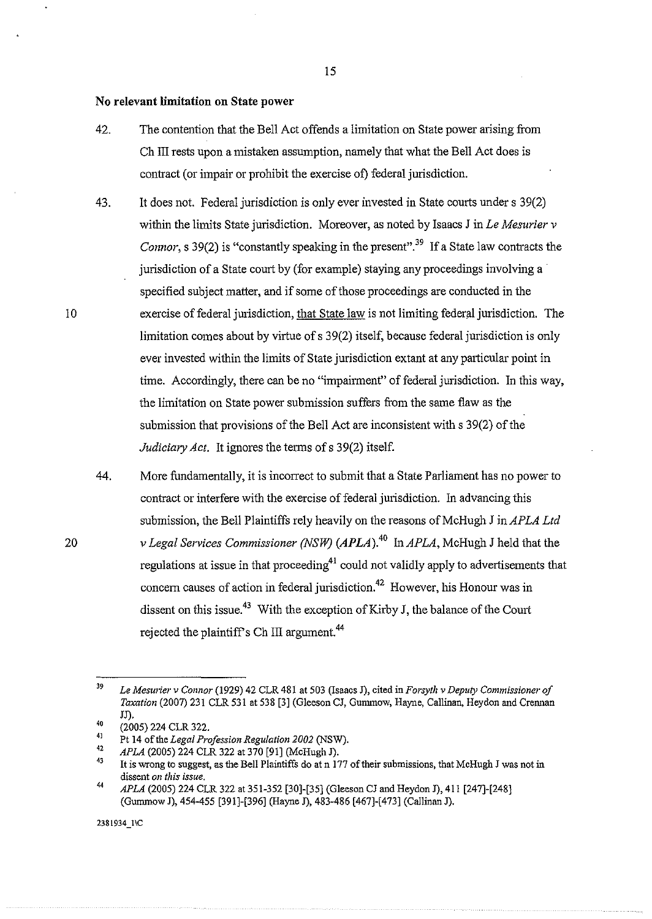#### **No relevant limitation on State power**

- 42. The contention that the Bell Act offends a limitation on State power arising from Ch III rests upon a mistaken assumption, namely that what the Bell Act does is contract (or impair or prohibit the exercise of) federal jurisdiction.
- 43. It does not. Federal jurisdiction is only ever invested in State courts under s 39(2) within the limits State jurisdiction. Moreover, as noted by Isaacs J in *Le Mesurier v Connor*, s 39(2) is "constantly speaking in the present".<sup>39</sup> If a State law contracts the jurisdiction of a State court by (for example) staying any proceedings involving a specified subject matter, and if some of those proceedings are conducted in the exercise of federal jurisdiction, that State law is not limiting federal jurisdiction. The limitation comes about by virtue of s 39(2) itself, because federal jurisdiction is only ever invested within the limits of State jurisdiction extant at any particular point in time. Accordingly, there can be no "impairment" of federal jurisdiction. In this way, the limitation on State power submission suffers from the same flaw as the submission that provisions of the Bell Act are inconsistent with s 39(2) of the *Judiciary Act.* It ignores the terms of s 39(2) itself.
- 44. More fundamentally, it is incorrect to submit that a State Parliament has no power to contract or interfere with the exercise of federal jurisdiction. In advancing this submission, the Bell Plaintiffs rely heavily on the reasons of McHugh J in APLA Ltd *v Legal Services Commissioner (NSW) (APLA).*<sup>40</sup> In *APLA*, McHugh J held that the regulations at issue in that proceeding<sup>41</sup> could not validly apply to advertisements that concern causes of action in federal jurisdiction.<sup>42</sup> However, his Honour was in dissent on this issue.<sup>43</sup> With the exception of Kirby J, the balance of the Court rejected the plaintiff's Ch III argument.<sup>44</sup>

10

20

2381934\_1\C

<sup>39</sup> 40 *Le Mesurier v Connor* (1929) 42 CLR 481 at 503 (lsaacs J), cited in *Forsytlz v Deputy Commissioner of Taxation* (2007) 231 CLR 531 at 538 [3] (G1eeson CJ, Gummow, Hayne, Callinan, Heydon and Crennan JJ).

<sup>(2005) 224</sup> CLR 322.

<sup>4</sup>J Pt 14 of the *Legal Profession Regulation 2002* (NSW).

<sup>42</sup>  *APLA* (2005) 224 CLR 322 at 370 [91] (McHugh J).

<sup>43</sup>  It is wrong to suggest, as the Bell Plaintiffs do at n 177 of their submissions, that McHugb J was not in **dissent** *on this issue.*  44

*APLA* (2005) 224 CLR 322 at 351-352 [30]-[35] (Gleeson CJ and Heydon J), 411 [247]-[248] (Gummow J), 454-455 [391]-[396] (Hayne J), 483-486 [467]-[473] (Callinan J).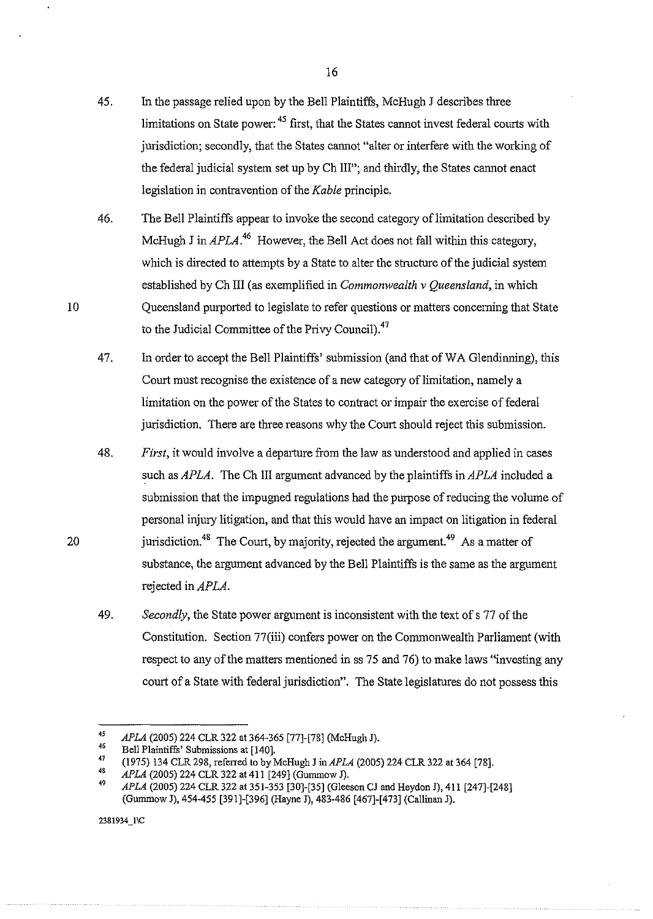- 45. In the passage relied upon by the Bell Plaintiffs, McHugh J describes three limitations on State power:<sup>45</sup> first, that the States cannot invest federal courts with jurisdiction; secondly, that the States cannot "alter or interfere with the working of the federal judicial system set up by Ch Ill"; and thirdly, the States cannot enact legislation in contravention of the *Kable* principle.
- 46. The Bell Plaintiffs appear to invoke the second category of limitation described by McHugh J in APLA<sup>46</sup> However, the Bell Act does not fall within this category, which is directed to attempts by a State to alter the structure of the judicial system established by ChIll (as exemplified in *Commonwealth v Queensland,* in which Queensland purported to legislate to refer questions or matters concerning that State to the Judicial Committee of the Privy Council).<sup>47</sup>
- 47. In order to accept the Bell Plaintiffs' submission (and that of WA Glendinning), this Court must recognise the existence of a new category of limitation, namely a limitation on the power of the States to contract or impair the exercise of federal jurisdiction. There are three reasons why the Court should reject this submission.
- 48. *First,* it would involve a departure from the law as understood and applied in cases such as *APLA*. The Ch III argument advanced by the plaintiffs in *APLA* included a submission that the impugned regulations had the purpose of reducing the volume of personal injury litigation, and that this would have an impact on litigation in federal jurisdiction.<sup>48</sup> The Court, by majority, rejected the argument.<sup>49</sup> As a matter of substance, the argument advanced by the Bell Plaintiffs is the same as the argument rejected in  $APLA$ .
- 49. *Secondly,* the State power argument is inconsistent with the text ofs 77 of the Constitution. Section 77(iii) confers power on the Commonwealth Parliament (with respect to any of the matters mentioned in ss 75 and 76) to make laws "investing any court of a State with federal jurisdiction". The State legislatures do not possess this

238!934\_1\C

10

*<sup>45</sup>  APLA* (2005) 224 CLR 322 at 364-365 [77]-[78] (McHugh J).

<sup>46</sup>  Bell Plaintiffs' Submissions at [140].

<sup>47</sup>  (1975) 134 CLR 298, referred to by McHugh J in APLA (2005) 224 CLR 322 at 364 [78].

<sup>4</sup>S *APLA* (2005) 224 CLR 322 at 411 [249] (Gummow J).

<sup>49</sup>  *APLA* (2005) 224 CLR 322 at 351-353 [30]-[35] (Gieeson CJ and Heydon J), 411 [247]-[248] (Gummow J), 454-455 [391]-[396] (Hayne J), 483-486 [467]-[473] (Callinan J).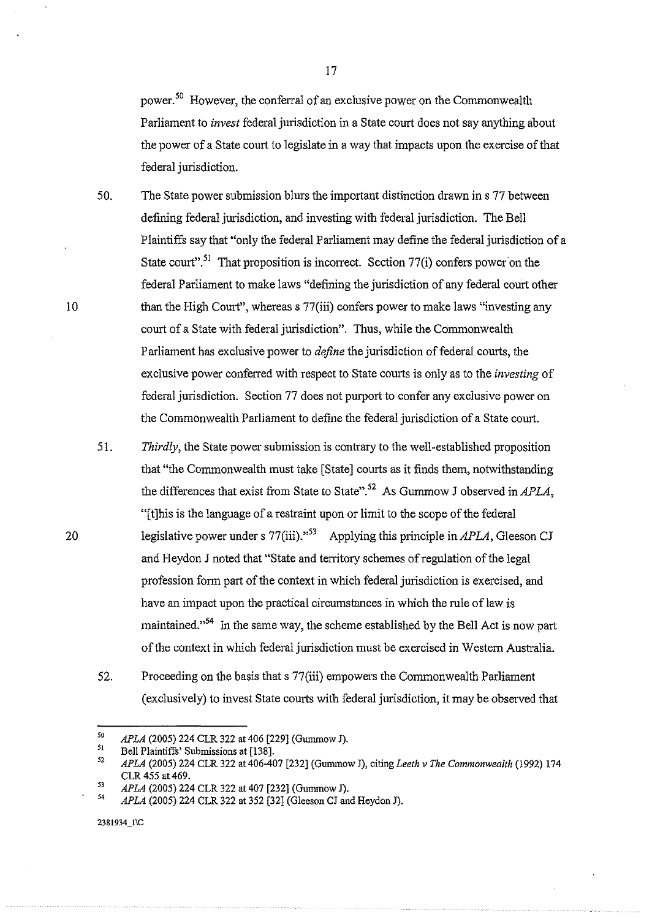power.<sup>50</sup> However, the conferral of an exclusive power on the Commonwealth Parliament to *invest* federal jurisdiction in a State court does not say anything about the power of a State comt to legislate in a way that impacts upon the exercise of that federal jurisdiction.

17

50. The State power submission blurs the important distinction drawn ins 77 between defining federal jurisdiction, and investing with federal jurisdiction. The Bell Plaintiffs say that "only the federal Parliament may define the federal jurisdiction of a State court".<sup>51</sup> That proposition is incorrect. Section  $77(i)$  confers power on the federal Parliament to make laws "defming the jurisdiction of any federal court other than the High Court", whereas s 77(iii) confers power to make laws "investing any court of a State with federal jurisdiction". Thus, while the Commonwealth Parliament has exclusive power to *define* the jurisdiction of federal courts, the exclusive power conferred with respect to State courts is only as to the *investing* of federal jurisdiction. Section 77 does not purport to confer any exclusive power on the Commonwealth Parliament to define the federal jurisdiction of a State court.

51. *Thirdly,* the State power submission is contrary to the well-established proposition that "the Commonwealth must take [State] courts as it finds them, notwithstanding the differences that exist from State to State".<sup>52</sup> As Gummow J observed in APLA, "[t]his is the language of a restraint upon or limit to the scope of the federal legislative power under s 77(iii)."53 Applying this principle in *APLA,* Gleeson CJ and Heydon J noted that "State and territory schemes of regulation of the legal profession form part of the context in which federal jurisdiction is exercised, and have an impact upon the practical circumstances in which the rule of law is maintained."<sup>54</sup> In the same way, the scheme established by the Bell Act is now part of the context in which federal jurisdiction must be exercised in Western Australia.

52. Proceeding on the basis that s 77(iii) empowers the Commonwealth Parliament (exclusively) to invest State coutts with federal jurisdiction, it may be observed that

10

<sup>50</sup>  *APLA* (2005) 224 CLR 322 at 406 [229] (Gummow J).

 $51$ Bell Plaintiffs' Submissions at [138].

 $52\,$ *APLA* (2005) 224 CLR 322 at 406-407 [232] (Gunnnow J), citing *Leeth v The Commonwealth* (1992) 174 CLR 455 at 469.

<sup>53</sup>  54 *APLA* (2005) 224 CLR 322 at 407 [232] (Gummow J).

*APLA* (2005) 224 CLR 322 at 352 [32] (Gleeson CJ and Heydon J).

<sup>2381934</sup>\_1\C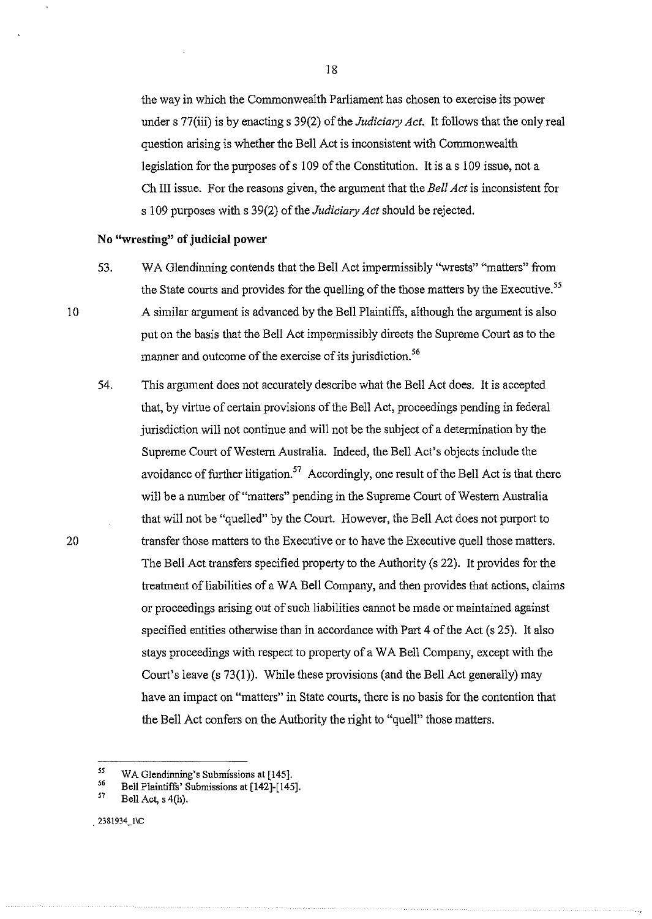the way in which the Commonwealth Parliament has chosen to exercise its power under s 77(iii) is by enacting s 39(2) of the *Judiciary Act.* It follows that the only real question arising is whether the Bell Act is inconsistent with Commonwealth legislation for the purposes of s 109 of the Constitution. It is a s 109 issue, not a Ch III issue. For the reasons given, the argument that the *Bell Act* is inconsistent for s 109 purposes with s 39(2) of the *Judiciary Act* should be rejected.

## **No "wresting" of judicial power**

10

- 53. WA Glendinning contends that the Bell Act impermissibly "wrests" "matters" from the State courts and provides for the quelling of the those matters by the Executive. *<sup>55</sup>* A similar argument is advanced by the Bell Plaintiffs, although the argument is also put on the basis that the Bell Act impermissibly directs the Supreme Court as to the manner and outcome of the exercise of its jurisdiction.<sup>56</sup>
- 54. This argument does not accurately describe what the Bell Act does. It is accepted that, by virtne of certain provisions of the Bell Act, proceedings pending in federal jurisdiction will not continue and will not be the subject of a determination by the Supreme Court of Western Australia. Indeed, the Bell Act's objects include the avoidance of further litigation.<sup>57</sup> Accordingly, one result of the Bell Act is that there will be a number of "matters" pending in the Supreme Court of Western Australia that will not be "quelled" by the Court. However, the Bell Act does not purport to transfer those matters to the Executive or to have the Executive quell those matters. The Bell Act transfers specified property to the Authority (s 22). It provides for the treatment of liabilities of a WA Bell Company, and then provides that actions, claims or proceedings arising out of such liabilities cannot be made or maintained against specified entities otherwise than in accordance with Part 4 of the Act (s 25). It also stays proceedings with respect to property of a W A Bell Company, except with the Court's leave (s 73(1)). While these provisions (and the Bell Act generally) may have an impact on "matters" in State courts, there is no basis for the contention that the Bell Act confers on the Authority the right to "quell" those matters.

l5 WA Glendinning's Submissions at [145].

*S6*  Bell Plaintiffs' Submissions at [142]-[145].

l7 Bell Act, s 4(h).

<sup>. 2381934</sup>\_1\C